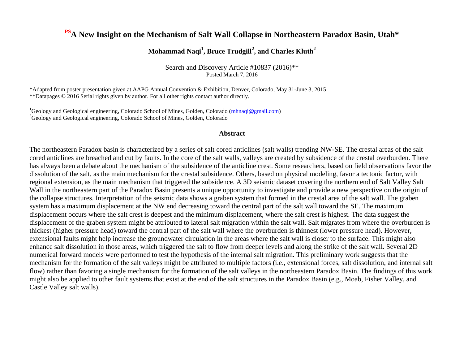#### **PSA New Insight on the Mechanism of Salt Wall Collapse in Northeastern Paradox Basin, Utah\***

#### **Mohammad Naqi<sup>1</sup> , Bruce Trudgill<sup>2</sup> , and Charles Kluth<sup>2</sup>**

Search and Discovery Article #10837 (2016)\*\* Posted March 7, 2016

\*Adapted from poster presentation given at AAPG Annual Convention & Exhibition, Denver, Colorado, May 31-June 3, 2015 \*\*Datapages © 2016 Serial rights given by author. For all other rights contact author directly.

<sup>1</sup>Geology and Geological engineering, Colorado School of Mines, Golden, Colorado [\(mhnaqi@gmail.com\)](file:///C:/Users/ahutchison/AppData/Local/Microsoft/Windows/Temporary%20Internet%20Files/Content.Outlook/598G22OY/mhnaqi@gmail.com) <sup>2</sup>Geology and Geological engineering, Colorado School of Mines, Golden, Colorado

#### **Abstract**

The northeastern Paradox basin is characterized by a series of salt cored anticlines (salt walls) trending NW-SE. The crestal areas of the salt cored anticlines are breached and cut by faults. In the core of the salt walls, valleys are created by subsidence of the crestal overburden. There has always been a debate about the mechanism of the subsidence of the anticline crest. Some researchers, based on field observations favor the dissolution of the salt, as the main mechanism for the crestal subsidence. Others, based on physical modeling, favor a tectonic factor, with regional extension, as the main mechanism that triggered the subsidence. A 3D seismic dataset covering the northern end of Salt Valley Salt Wall in the northeastern part of the Paradox Basin presents a unique opportunity to investigate and provide a new perspective on the origin of the collapse structures. Interpretation of the seismic data shows a graben system that formed in the crestal area of the salt wall. The graben system has a maximum displacement at the NW end decreasing toward the central part of the salt wall toward the SE. The maximum displacement occurs where the salt crest is deepest and the minimum displacement, where the salt crest is highest. The data suggest the displacement of the graben system might be attributed to lateral salt migration within the salt wall. Salt migrates from where the overburden is thickest (higher pressure head) toward the central part of the salt wall where the overburden is thinnest (lower pressure head). However, extensional faults might help increase the groundwater circulation in the areas where the salt wall is closer to the surface. This might also enhance salt dissolution in those areas, which triggered the salt to flow from deeper levels and along the strike of the salt wall. Several 2D numerical forward models were performed to test the hypothesis of the internal salt migration. This preliminary work suggests that the mechanism for the formation of the salt valleys might be attributed to multiple factors (i.e., extensional forces, salt dissolution, and internal salt flow) rather than favoring a single mechanism for the formation of the salt valleys in the northeastern Paradox Basin. The findings of this work might also be applied to other fault systems that exist at the end of the salt structures in the Paradox Basin (e.g., Moab, Fisher Valley, and Castle Valley salt walls).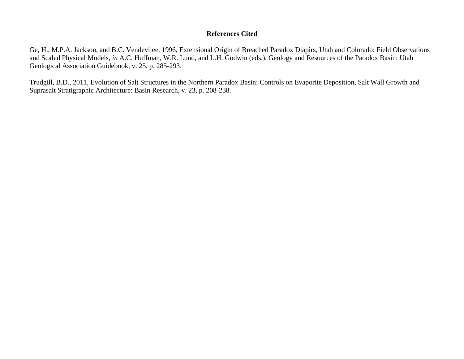#### **References Cited**

Ge, H., M.P.A. Jackson, and B.C. Vendevilee, 1996, Extensional Origin of Breached Paradox Diapirs, Utah and Colorado: Field Observations and Scaled Physical Models, *in* A.C. Huffman, W.R. Lund, and L.H. Godwin (eds.), Geology and Resources of the Paradox Basin: Utah Geological Association Guidebook, v. 25, p. 285-293.

Trudgill, B.D., 2011, Evolution of Salt Structures in the Northern Paradox Basin: Controls on Evaporite Deposition, Salt Wall Growth and Suprasalt Stratigraphic Architecture: Basin Research, v. 23, p. 208-238.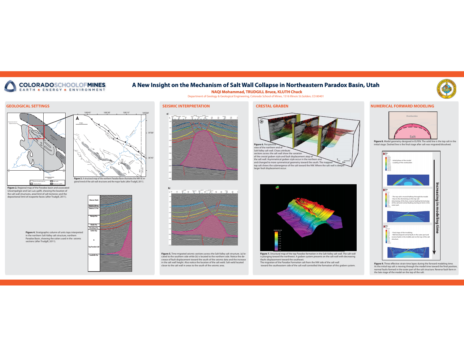# COLORADOSCHOOLOFMINES

# **A New Insight on the Mechanism of Salt Wall Collapse in Northeastern Paradox Basin, Utah**

### **NAQI Mohammad, TRUDGILL Bruce, KLUTH Chuck**

#### **GEOLOGICAL SETTINGS**

**Figure 4.** Stratigraphic column of units tops interpreted in the northern Salt Valley salt structure, northern Paradox Basin, showing the colors used in the seismic sections (after Trudgill, 2011).





Department of Geology & Geological Engineering, Colorado School of Mines, 1516 Illinois St.Golden, CO 80401

**Figure 7.** Structural map of the top Paradox formation in the Salt Valley salt wall. The salt wall is plunging toward the northwest. A graben system presents on the salt wall with decreasing ifaults displacement toward the southeast.

The migration of the Paradox Formation salt from the NW side of the salt wall toward the southeastern side of the salt wall controlled the formation of this graben system.







**Figure 9.** Three effective strain time lapes during the forward modeling time. As the initial top salt is moving through the model time toward the final position, normal faults formed in the outer part of the salt structure. Reverse fault form in the late stage of the model on the top of the salt.



**Figure 5.** Time migrated seismic sections across the Salt Valley salt structure. (a) located to the southern side while (b) is located to the northern side. Notice the decrease of fault displacement toward the south of the seismic data and the increase in the salt wall height. Also notice the location of the salt weld. Salt weld located closer to the salt wall in areas to the south of the seismic area.



**Figure 8.** Model geometry designed in ELFEN. The solid line is the top salt in the initial stage. Dashed line is the final stage after salt was migrated/dissolved.





**Figure 2.** Regional map of the Paradox basin and associated Uncompahgre and San Luis uplift, showing the location of the salt wall structures, areal limit of salt tectonics and the depositional limit of evaporite facies (after Trudgill, 2011).

**Figure 3.** A structural map of the northern Paradox Basin illustrates the NW-SE regional trend of the salt wall structures and the major faults (after Trudgill, 2011).



#### **SEISMIC INTERPRETATION**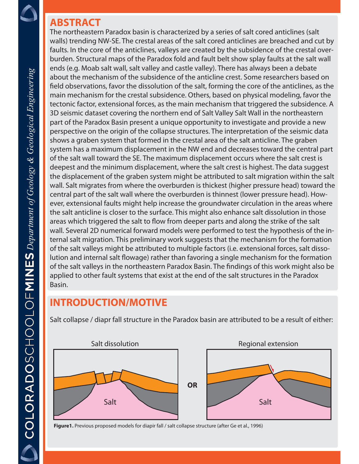#### **ABSTRACT**

The northeastern Paradox basin is characterized by a series of salt cored anticlines (salt walls) trending NW-SE. The crestal areas of the salt cored anticlines are breached and cut by faults. In the core of the anticlines, valleys are created by the subsidence of the crestal overburden. Structural maps of the Paradox fold and fault belt show splay faults at the salt wall ends (e.g. Moab salt wall, salt valley and castle valley). There has always been a debate about the mechanism of the subsidence of the anticline crest. Some researchers based on field observations, favor the dissolution of the salt, forming the core of the anticlines, as the main mechanism for the crestal subsidence. Others, based on physical modeling, favor the tectonic factor, extensional forces, as the main mechanism that triggered the subsidence. A 3D seismic dataset covering the northern end of Salt Valley Salt Wall in the northeastern part of the Paradox Basin present a unique opportunity to investigate and provide a new perspective on the origin of the collapse structures. The interpretation of the seismic data shows a graben system that formed in the crestal area of the salt anticline. The graben system has a maximum displacement in the NW end and decreases toward the central part of the salt wall toward the SE. The maximum displacement occurs where the salt crest is deepest and the minimum displacement, where the salt crest is highest. The data suggest the displacement of the graben system might be attributed to salt migration within the salt wall. Salt migrates from where the overburden is thickest (higher pressure head) toward the central part of the salt wall where the overburden is thinnest (lower pressure head). However, extensional faults might help increase the groundwater circulation in the areas where the salt anticline is closer to the surface. This might also enhance salt dissolution in those areas which triggered the salt to flow from deeper parts and along the strike of the salt wall. Several 2D numerical forward models were performed to test the hypothesis of the internal salt migration. This preliminary work suggests that the mechanism for the formation of the salt valleys might be attributed to multiple factors (i.e. extensional forces, salt dissolution and internal salt flowage) rather than favoring a single mechanism for the formation of the salt valleys in the northeastern Paradox Basin. The findings of this work might also be applied to other fault systems that exist at the end of the salt structures in the Paradox Basin.

# **INTRODUCTION/MOTIVE**

Salt collapse / diapr fall structure in the Paradox basin are attributed to be a result of either:



**Figure1.** Previous proposed models for diapir fall / salt collapse structure (after Ge et al., 1996)